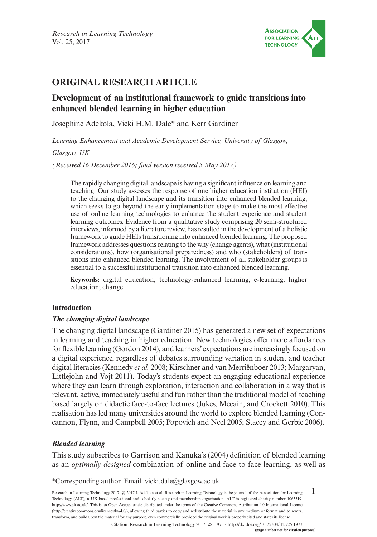

# **ORIGINAL RESEARCH ARTICLE**

# **Development of an institutional framework to guide transitions into enhanced blended learning in higher education**

Josephine Adekola, Vicki H.M. Dale\* and Kerr Gardiner

*Learning Enhancement and Academic Development Service, University of Glasgow,* 

*Glasgow, UK* 

*(Received 16 December 2016; final version received 5 May 2017)*

The rapidly changing digital landscape is having a significant influence on learning and teaching. Our study assesses the response of one higher education institution (HEI) to the changing digital landscape and its transition into enhanced blended learning, which seeks to go beyond the early implementation stage to make the most effective use of online learning technologies to enhance the student experience and student learning outcomes. Evidence from a qualitative study comprising 20 semi-structured interviews, informed by a literature review, has resulted in the development of a holistic framework to guide HEIs transitioning into enhanced blended learning. The proposed framework addresses questions relating to the why (change agents), what (institutional considerations), how (organisational preparedness) and who (stakeholders) of transitions into enhanced blended learning. The involvement of all stakeholder groups is essential to a successful institutional transition into enhanced blended learning.

**Keywords:** digital education; technology-enhanced learning; e-learning; higher education; change

## **Introduction**

## *The changing digital landscape*

The changing digital landscape (Gardiner 2015) has generated a new set of expectations in learning and teaching in higher education. New technologies offer more affordances for flexible learning (Gordon 2014), and learners' expectations are increasingly focused on a digital experience, regardless of debates surrounding variation in student and teacher digital literacies (Kennedy *et al.* 2008; Kirschner and van Merriënboer 2013; Margaryan, Littlejohn and Vojt 2011). Today's students expect an engaging educational experience where they can learn through exploration, interaction and collaboration in a way that is relevant, active, immediately useful and fun rather than the traditional model of teaching based largely on didactic face-to-face lectures (Jukes, Mccain, and Crockett 2010). This realisation has led many universities around the world to explore blended learning (Concannon, Flynn, and Campbell 2005; Popovich and Neel 2005; Stacey and Gerbic 2006).

## *Blended learning*

This study subscribes to Garrison and Kanuka's (2004) definition of blended learning as an *optimally designed* combination of online and face-to-face learning, as well as

\*Corresponding author. Email: [vicki.dale@glasgow.ac.uk](mailto:vicki.dale@glasgow.ac.uk)

1 Research in Learning Technology 2017. @ 2017 J. Adekola et al. Research in Learning Technology is the journal of the Association for Learning Technology (ALT), a UK-based professional and scholarly society and membership organisation. ALT is registered charity number 1063519. <http://www.alt.ac.uk>/. This is an Open Access article distributed under the terms of the Creative Commons Attribution 4.0 International License ([http://creativecommons.org/licenses/by/](http://creativecommons.org/licenses/by)4.0/), allowing third parties to copy and redistribute the material in any medium or format and to remix, transform, and build upon the material for any purpose, even commercially, provided the original work is properly cited and states its license.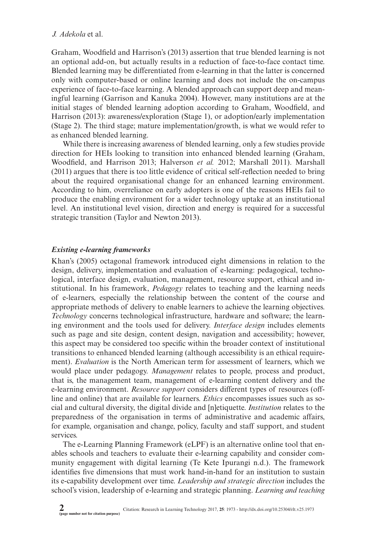Graham, Woodfield and Harrison's (2013) assertion that true blended learning is not an optional add-on, but actually results in a reduction of face-to-face contact time. Blended learning may be differentiated from e-learning in that the latter is concerned only with computer-based or online learning and does not include the on-campus experience of face-to-face learning. A blended approach can support deep and meaningful learning (Garrison and Kanuka 2004). However, many institutions are at the initial stages of blended learning adoption according to Graham, Woodfield, and Harrison (2013): awareness/exploration (Stage 1), or adoption/early implementation (Stage 2). The third stage; mature implementation/growth, is what we would refer to as enhanced blended learning.

While there is increasing awareness of blended learning, only a few studies provide direction for HEIs looking to transition into enhanced blended learning (Graham, Woodfield, and Harrison 2013; Halverson *et al.* 2012; Marshall 2011). Marshall (2011) argues that there is too little evidence of critical self-reflection needed to bring about the required organisational change for an enhanced learning environment. According to him, overreliance on early adopters is one of the reasons HEIs fail to produce the enabling environment for a wider technology uptake at an institutional level. An institutional level vision, direction and energy is required for a successful strategic transition (Taylor and Newton 2013).

### *Existing e-learning frameworks*

Khan's (2005) octagonal framework introduced eight dimensions in relation to the design, delivery, implementation and evaluation of e-learning: pedagogical, technological, interface design, evaluation, management, resource support, ethical and institutional. In his framework, *Pedagogy* relates to teaching and the learning needs of e-learners, especially the relationship between the content of the course and appropriate methods of delivery to enable learners to achieve the learning objectives. *Technology* concerns technological infrastructure, hardware and software; the learning environment and the tools used for delivery. *Interface design* includes elements such as page and site design, content design, navigation and accessibility; however, this aspect may be considered too specific within the broader context of institutional transitions to enhanced blended learning (although accessibility is an ethical requirement). *Evaluation* is the North American term for assessment of learners, which we would place under pedagogy. *Management* relates to people, process and product, that is, the management team, management of e-learning content delivery and the e-learning environment. *Resource support* considers different types of resources (offline and online) that are available for learners. *Ethics* encompasses issues such as social and cultural diversity, the digital divide and [n]etiquette. *Institution* relates to the preparedness of the organisation in terms of administrative and academic affairs, for example, organisation and change, policy, faculty and staff support, and student services.

The e-Learning Planning Framework (eLPF) is an alternative online tool that enables schools and teachers to evaluate their e-learning capability and consider community engagement with digital learning (Te Kete Ipurangi n.d.). The framework identifies five dimensions that must work hand-in-hand for an institution to sustain its e-capability development over time. *Leadership and strategic direction* includes the school's vision, leadership of e-learning and strategic planning. *Learning and teaching*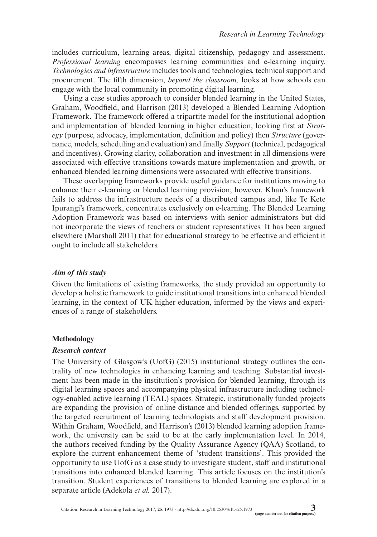includes curriculum, learning areas, digital citizenship, pedagogy and assessment. *Professional learning* encompasses learning communities and e-learning inquiry. *Technologies and infrastructure* includes tools and technologies, technical support and procurement. The fifth dimension, *beyond the classroom,* looks at how schools can engage with the local community in promoting digital learning.

Using a case studies approach to consider blended learning in the United States, Graham, Woodfield, and Harrison (2013) developed a Blended Learning Adoption Framework. The framework offered a tripartite model for the institutional adoption and implementation of blended learning in higher education; looking first at *Strategy* (purpose, advocacy, implementation, definition and policy) then *Structure* (governance, models, scheduling and evaluation) and finally *Support* (technical, pedagogical and incentives). Growing clarity, collaboration and investment in all dimensions were associated with effective transitions towards mature implementation and growth, or enhanced blended learning dimensions were associated with effective transitions.

These overlapping frameworks provide useful guidance for institutions moving to enhance their e-learning or blended learning provision; however, Khan's framework fails to address the infrastructure needs of a distributed campus and, like Te Kete Ipurangi's framework, concentrates exclusively on e-learning. The Blended Learning Adoption Framework was based on interviews with senior administrators but did not incorporate the views of teachers or student representatives. It has been argued elsewhere (Marshall 2011) that for educational strategy to be effective and efficient it ought to include all stakeholders.

#### *Aim of this study*

Given the limitations of existing frameworks, the study provided an opportunity to develop a holistic framework to guide institutional transitions into enhanced blended learning, in the context of UK higher education, informed by the views and experiences of a range of stakeholders.

#### **Methodology**

#### *Research context*

The University of Glasgow's (UofG) (2015) institutional strategy outlines the centrality of new technologies in enhancing learning and teaching. Substantial investment has been made in the institution's provision for blended learning, through its digital learning spaces and accompanying physical infrastructure including technology-enabled active learning (TEAL) spaces. Strategic, institutionally funded projects are expanding the provision of online distance and blended offerings, supported by the targeted recruitment of learning technologists and staff development provision. Within Graham, Woodfield, and Harrison's (2013) blended learning adoption framework, the university can be said to be at the early implementation level. In 2014, the authors received funding by the Quality Assurance Agency (QAA) Scotland, to explore the current enhancement theme of 'student transitions'. This provided the opportunity to use UofG as a case study to investigate student, staff and institutional transitions into enhanced blended learning. This article focuses on the institution's transition. Student experiences of transitions to blended learning are explored in a separate article (Adekola *et al.* 2017).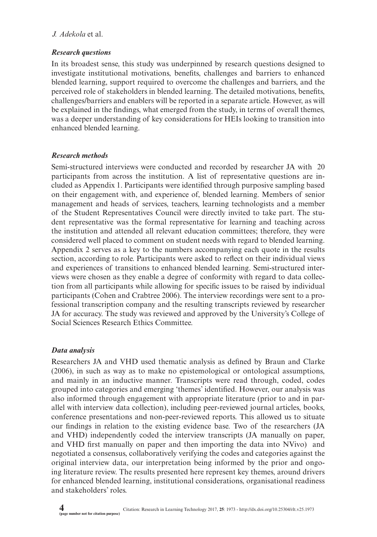## *Research questions*

In its broadest sense, this study was underpinned by research questions designed to investigate institutional motivations, benefits, challenges and barriers to enhanced blended learning, support required to overcome the challenges and barriers, and the perceived role of stakeholders in blended learning. The detailed motivations, benefits, challenges/barriers and enablers will be reported in a separate article. However, as will be explained in the findings, what emerged from the study, in terms of overall themes, was a deeper understanding of key considerations for HEIs looking to transition into enhanced blended learning.

## *Research methods*

Semi-structured interviews were conducted and recorded by researcher JA with 20 participants from across the institution. A list of representative questions are included as Appendix 1. Participants were identified through purposive sampling based on their engagement with, and experience of, blended learning. Members of senior management and heads of services, teachers, learning technologists and a member of the Student Representatives Council were directly invited to take part. The student representative was the formal representative for learning and teaching across the institution and attended all relevant education committees; therefore, they were considered well placed to comment on student needs with regard to blended learning. Appendix 2 serves as a key to the numbers accompanying each quote in the results section, according to role. Participants were asked to reflect on their individual views and experiences of transitions to enhanced blended learning. Semi-structured interviews were chosen as they enable a degree of conformity with regard to data collection from all participants while allowing for specific issues to be raised by individual participants (Cohen and Crabtree 2006). The interview recordings were sent to a professional transcription company and the resulting transcripts reviewed by researcher JA for accuracy. The study was reviewed and approved by the University's College of Social Sciences Research Ethics Committee.

## *Data analysis*

Researchers JA and VHD used thematic analysis as defined by Braun and Clarke (2006), in such as way as to make no epistemological or ontological assumptions, and mainly in an inductive manner. Transcripts were read through, coded, codes grouped into categories and emerging 'themes' identified. However, our analysis was also informed through engagement with appropriate literature (prior to and in parallel with interview data collection), including peer-reviewed journal articles, books, conference presentations and non-peer-reviewed reports. This allowed us to situate our findings in relation to the existing evidence base. Two of the researchers (JA and VHD) independently coded the interview transcripts (JA manually on paper, and VHD first manually on paper and then importing the data into NVivo) and negotiated a consensus, collaboratively verifying the codes and categories against the original interview data, our interpretation being informed by the prior and ongoing literature review. The results presented here represent key themes, around drivers for enhanced blended learning, institutional considerations, organisational readiness and stakeholders' roles.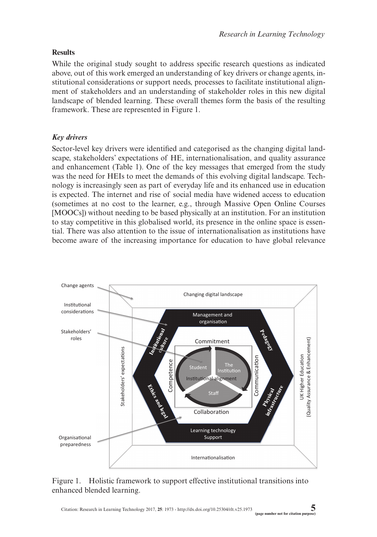## **Results**

While the original study sought to address specific research questions as indicated above, out of this work emerged an understanding of key drivers or change agents, institutional considerations or support needs, processes to facilitate institutional alignment of stakeholders and an understanding of stakeholder roles in this new digital landscape of blended learning. These overall themes form the basis of the resulting framework. These are represented in Figure 1.

## *Key drivers*

Sector-level key drivers were identified and categorised as the changing digital landscape, stakeholders' expectations of HE, internationalisation, and quality assurance and enhancement (Table 1). One of the key messages that emerged from the study was the need for HEIs to meet the demands of this evolving digital landscape. Technology is increasingly seen as part of everyday life and its enhanced use in education is expected. The internet and rise of social media have widened access to education (sometimes at no cost to the learner, e.g., through Massive Open Online Courses [MOOCs]) without needing to be based physically at an institution. For an institution to stay competitive in this globalised world, its presence in the online space is essential. There was also attention to the issue of internationalisation as institutions have become aware of the increasing importance for education to have global relevance



## Figure 1. Holistic framework to support effective institutional transitions into enhanced blended learning.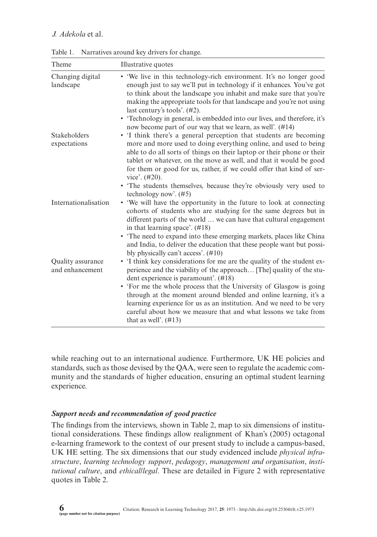| Theme                                | Illustrative quotes                                                                                                                                                                                                                                                                                                                                                                                                                                                                                                                                                                                                        |
|--------------------------------------|----------------------------------------------------------------------------------------------------------------------------------------------------------------------------------------------------------------------------------------------------------------------------------------------------------------------------------------------------------------------------------------------------------------------------------------------------------------------------------------------------------------------------------------------------------------------------------------------------------------------------|
| Changing digital<br>landscape        | • 'We live in this technology-rich environment. It's no longer good<br>enough just to say we'll put in technology if it enhances. You've got<br>to think about the landscape you inhabit and make sure that you're<br>making the appropriate tools for that landscape and you're not using<br>last century's tools'. (#2).<br>• Technology in general, is embedded into our lives, and therefore, it's                                                                                                                                                                                                                     |
| Stakeholders<br>expectations         | now become part of our way that we learn, as well'. (#14)<br>• T think there's a general perception that students are becoming<br>more and more used to doing everything online, and used to being<br>able to do all sorts of things on their laptop or their phone or their<br>tablet or whatever, on the move as well, and that it would be good<br>for them or good for us, rather, if we could offer that kind of ser-<br>vice'. $(\#20)$ .<br>• The students themselves, because they're obviously very used to                                                                                                       |
| Internationalisation                 | technology now'. $(\#5)$<br>• 'We will have the opportunity in the future to look at connecting<br>cohorts of students who are studying for the same degrees but in<br>different parts of the world  we can have that cultural engagement<br>in that learning space'. $(\#18)$<br>• The need to expand into these emerging markets, places like China                                                                                                                                                                                                                                                                      |
| Quality assurance<br>and enhancement | and India, to deliver the education that these people want but possi-<br>bly physically can't access'. $(\#10)$<br>• I think key considerations for me are the quality of the student ex-<br>perience and the viability of the approach [The] quality of the stu-<br>dent experience is paramount'. (#18)<br>• 'For me the whole process that the University of Glasgow is going<br>through at the moment around blended and online learning, it's a<br>learning experience for us as an institution. And we need to be very<br>careful about how we measure that and what lessons we take from<br>that as well'. $(\#13)$ |

Table 1. Narratives around key drivers for change.

while reaching out to an international audience. Furthermore, UK HE policies and standards, such as those devised by the QAA, were seen to regulate the academic community and the standards of higher education, ensuring an optimal student learning experience.

## *Support needs and recommendation of good practice*

The findings from the interviews, shown in Table 2, map to six dimensions of institutional considerations. These findings allow realignment of Khan's (2005) octagonal e-learning framework to the context of our present study to include a campus-based, UK HE setting. The six dimensions that our study evidenced include *physical infrastructure*, *learning technology support*, *pedagogy*, *management and organisation*, *institutional culture*, and *ethical/legal*. These are detailed in Figure 2 with representative quotes in Table 2.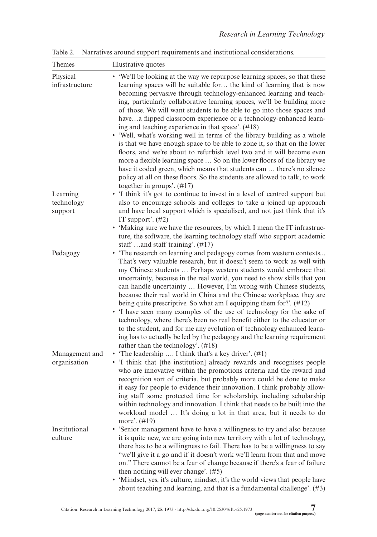Table 2. Narratives around support requirements and institutional considerations.

| Themes                         | Illustrative quotes                                                                                                                                                                                                                                                                                                                                                                                                                                                                                                                                                                                                                                                                                                                                                                                                                                                                                                                                                                                               |
|--------------------------------|-------------------------------------------------------------------------------------------------------------------------------------------------------------------------------------------------------------------------------------------------------------------------------------------------------------------------------------------------------------------------------------------------------------------------------------------------------------------------------------------------------------------------------------------------------------------------------------------------------------------------------------------------------------------------------------------------------------------------------------------------------------------------------------------------------------------------------------------------------------------------------------------------------------------------------------------------------------------------------------------------------------------|
| Physical<br>infrastructure     | • 'We'll be looking at the way we repurpose learning spaces, so that these<br>learning spaces will be suitable for the kind of learning that is now<br>becoming pervasive through technology-enhanced learning and teach-<br>ing, particularly collaborative learning spaces, we'll be building more<br>of those. We will want students to be able to go into those spaces and<br>havea flipped classroom experience or a technology-enhanced learn-<br>ing and teaching experience in that space'. (#18)<br>• 'Well, what's working well in terms of the library building as a whole<br>is that we have enough space to be able to zone it, so that on the lower<br>floors, and we're about to refurbish level two and it will become even<br>more a flexible learning space  So on the lower floors of the library we<br>have it coded green, which means that students can  there's no silence<br>policy at all on these floors. So the students are allowed to talk, to work<br>together in groups'. $(\#17)$ |
| Learning                       | • 'I think it's got to continue to invest in a level of centred support but                                                                                                                                                                                                                                                                                                                                                                                                                                                                                                                                                                                                                                                                                                                                                                                                                                                                                                                                       |
| technology                     | also to encourage schools and colleges to take a joined up approach                                                                                                                                                                                                                                                                                                                                                                                                                                                                                                                                                                                                                                                                                                                                                                                                                                                                                                                                               |
| support                        | and have local support which is specialised, and not just think that it's<br>IT support'. $(#2)$                                                                                                                                                                                                                                                                                                                                                                                                                                                                                                                                                                                                                                                                                                                                                                                                                                                                                                                  |
|                                | • 'Making sure we have the resources, by which I mean the IT infrastruc-<br>ture, the software, the learning technology staff who support academic<br>staff and staff training'. $(\#17)$                                                                                                                                                                                                                                                                                                                                                                                                                                                                                                                                                                                                                                                                                                                                                                                                                         |
| Pedagogy                       | • 'The research on learning and pedagogy comes from western contexts<br>That's very valuable research, but it doesn't seem to work as well with<br>my Chinese students  Perhaps western students would embrace that<br>uncertainty, because in the real world, you need to show skills that you<br>can handle uncertainty  However, I'm wrong with Chinese students,<br>because their real world in China and the Chinese workplace, they are<br>being quite prescriptive. So what am I equipping them for?'. (#12)<br>• 'I have seen many examples of the use of technology for the sake of<br>technology, where there's been no real benefit either to the educator or<br>to the student, and for me any evolution of technology enhanced learn-<br>ing has to actually be led by the pedagogy and the learning requirement<br>rather than the technology'. (#18)                                                                                                                                               |
| Management and<br>organisation | • The leadership  I think that's a key driver'. $(\#1)$<br>• 'I think that [the institution] already rewards and recognises people<br>who are innovative within the promotions criteria and the reward and<br>recognition sort of criteria, but probably more could be done to make<br>it easy for people to evidence their innovation. I think probably allow-<br>ing staff some protected time for scholarship, including scholarship<br>within technology and innovation. I think that needs to be built into the<br>workload model  It's doing a lot in that area, but it needs to do<br>more'. (#19)                                                                                                                                                                                                                                                                                                                                                                                                         |
| Institutional<br>culture       | • 'Senior management have to have a willingness to try and also because<br>it is quite new, we are going into new territory with a lot of technology,<br>there has to be a willingness to fail. There has to be a willingness to say<br>"we'll give it a go and if it doesn't work we'll learn from that and move<br>on." There cannot be a fear of change because if there's a fear of failure<br>then nothing will ever change'. (#5)<br>• 'Mindset, yes, it's culture, mindset, it's the world views that people have<br>about teaching and learning, and that is a fundamental challenge'. (#3)                                                                                                                                                                                                                                                                                                                                                                                                               |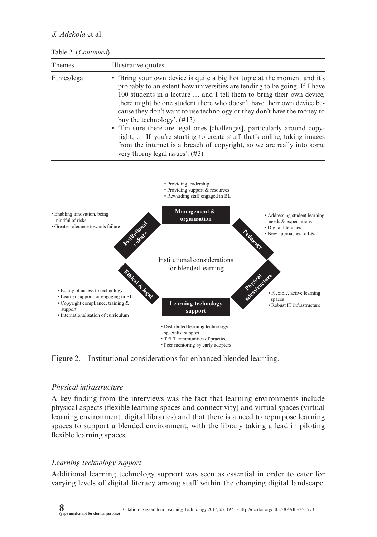#### Table 2. (*Continued*)

| <b>Themes</b> | Illustrative quotes                                                                                                                                                                                                                                                                                                                                                                                                  |
|---------------|----------------------------------------------------------------------------------------------------------------------------------------------------------------------------------------------------------------------------------------------------------------------------------------------------------------------------------------------------------------------------------------------------------------------|
| Ethics/legal  | • 'Bring your own device is quite a big hot topic at the moment and it's<br>probably to an extent how universities are tending to be going. If I have<br>100 students in a lecture  and I tell them to bring their own device.<br>there might be one student there who doesn't have their own device be-<br>cause they don't want to use technology or they don't have the money to<br>buy the technology'. $(\#13)$ |
|               | • T'm sure there are legal ones [challenges], particularly around copy-<br>right,  If you're starting to create stuff that's online, taking images<br>from the internet is a breach of copyright, so we are really into some<br>very thorny legal issues'. $(#3)$                                                                                                                                                    |



Figure 2. Institutional considerations for enhanced blended learning.

## *Physical infrastructure*

A key finding from the interviews was the fact that learning environments include physical aspects (flexible learning spaces and connectivity) and virtual spaces (virtual learning environment, digital libraries) and that there is a need to repurpose learning spaces to support a blended environment, with the library taking a lead in piloting flexible learning spaces.

## *Learning technology support*

Additional learning technology support was seen as essential in order to cater for varying levels of digital literacy among staff within the changing digital landscape.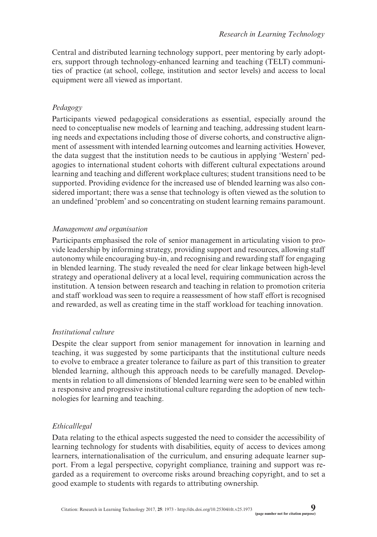Central and distributed learning technology support, peer mentoring by early adopters, support through technology-enhanced learning and teaching (TELT) communities of practice (at school, college, institution and sector levels) and access to local equipment were all viewed as important.

#### *Pedagogy*

Participants viewed pedagogical considerations as essential, especially around the need to conceptualise new models of learning and teaching, addressing student learning needs and expectations including those of diverse cohorts, and constructive alignment of assessment with intended learning outcomes and learning activities. However, the data suggest that the institution needs to be cautious in applying 'Western' pedagogies to international student cohorts with different cultural expectations around learning and teaching and different workplace cultures; student transitions need to be supported. Providing evidence for the increased use of blended learning was also considered important; there was a sense that technology is often viewed as the solution to an undefined 'problem' and so concentrating on student learning remains paramount.

### *Management and organisation*

Participants emphasised the role of senior management in articulating vision to provide leadership by informing strategy, providing support and resources, allowing staff autonomy while encouraging buy-in, and recognising and rewarding staff for engaging in blended learning. The study revealed the need for clear linkage between high-level strategy and operational delivery at a local level, requiring communication across the institution. A tension between research and teaching in relation to promotion criteria and staff workload was seen to require a reassessment of how staff effort is recognised and rewarded, as well as creating time in the staff workload for teaching innovation.

## *Institutional culture*

Despite the clear support from senior management for innovation in learning and teaching, it was suggested by some participants that the institutional culture needs to evolve to embrace a greater tolerance to failure as part of this transition to greater blended learning, although this approach needs to be carefully managed. Developments in relation to all dimensions of blended learning were seen to be enabled within a responsive and progressive institutional culture regarding the adoption of new technologies for learning and teaching.

## *Ethical/legal*

Data relating to the ethical aspects suggested the need to consider the accessibility of learning technology for students with disabilities, equity of access to devices among learners, internationalisation of the curriculum, and ensuring adequate learner support. From a legal perspective, copyright compliance, training and support was regarded as a requirement to overcome risks around breaching copyright, and to set a good example to students with regards to attributing ownership.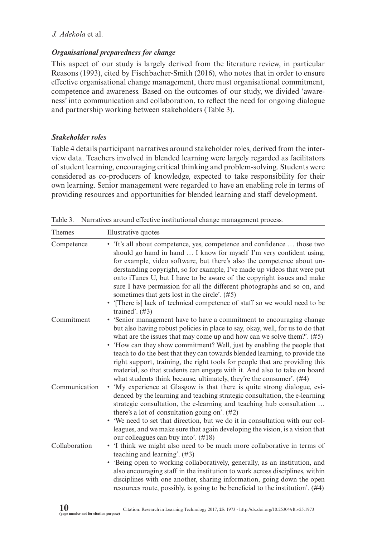## *Organisational preparedness for change*

This aspect of our study is largely derived from the literature review, in particular Reasons (1993), cited by Fischbacher-Smith (2016), who notes that in order to ensure effective organisational change management, there must organisational commitment, competence and awareness. Based on the outcomes of our study, we divided 'awareness' into communication and collaboration, to reflect the need for ongoing dialogue and partnership working between stakeholders (Table 3).

## *Stakeholder roles*

Table 4 details participant narratives around stakeholder roles, derived from the interview data. Teachers involved in blended learning were largely regarded as facilitators of student learning, encouraging critical thinking and problem-solving. Students were considered as co-producers of knowledge, expected to take responsibility for their own learning. Senior management were regarded to have an enabling role in terms of providing resources and opportunities for blended learning and staff development.

Table 3. Narratives around effective institutional change management process.

| Themes        | Illustrative quotes                                                                                                                                                                                                                                                                                                                                                                                                                                                                                                                                                                                                             |
|---------------|---------------------------------------------------------------------------------------------------------------------------------------------------------------------------------------------------------------------------------------------------------------------------------------------------------------------------------------------------------------------------------------------------------------------------------------------------------------------------------------------------------------------------------------------------------------------------------------------------------------------------------|
| Competence    | • 'It's all about competence, yes, competence and confidence  those two<br>should go hand in hand  I know for myself I'm very confident using,<br>for example, video software, but there's also the competence about un-<br>derstanding copyright, so for example, I've made up videos that were put<br>onto iTunes U, but I have to be aware of the copyright issues and make<br>sure I have permission for all the different photographs and so on, and<br>sometimes that gets lost in the circle'. (#5)<br>• 'There is lack of technical competence of staff so we would need to be<br>trained'. $(#3)$                      |
| Commitment    | • 'Senior management have to have a commitment to encouraging change<br>but also having robust policies in place to say, okay, well, for us to do that<br>what are the issues that may come up and how can we solve them?'. $(#5)$<br>• 'How can they show commitment? Well, just by enabling the people that<br>teach to do the best that they can towards blended learning, to provide the<br>right support, training, the right tools for people that are providing this<br>material, so that students can engage with it. And also to take on board<br>what students think because, ultimately, they're the consumer'. (#4) |
| Communication | 'My experience at Glasgow is that there is quite strong dialogue, evi-<br>٠<br>denced by the learning and teaching strategic consultation, the e-learning<br>strategic consultation, the e-learning and teaching hub consultation<br>there's a lot of consultation going on'. $(#2)$<br>• 'We need to set that direction, but we do it in consultation with our col-<br>leagues, and we make sure that again developing the vision, is a vision that<br>our colleagues can buy into'. (#18)                                                                                                                                     |
| Collaboration | • I think we might also need to be much more collaborative in terms of<br>teaching and learning'. $(\#3)$<br>• 'Being open to working collaboratively, generally, as an institution, and<br>also encouraging staff in the institution to work across disciplines, within<br>disciplines with one another, sharing information, going down the open<br>resources route, possibly, is going to be beneficial to the institution'. $(#4)$                                                                                                                                                                                          |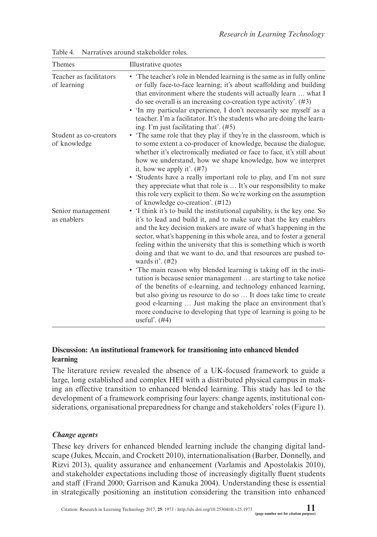| <b>Themes</b>                          | Illustrative quotes                                                                                                                                                                                                                                                                                                                                                                                                                                                                                                                                                                                                                                                                                                                                                                                                                                                                                  |
|----------------------------------------|------------------------------------------------------------------------------------------------------------------------------------------------------------------------------------------------------------------------------------------------------------------------------------------------------------------------------------------------------------------------------------------------------------------------------------------------------------------------------------------------------------------------------------------------------------------------------------------------------------------------------------------------------------------------------------------------------------------------------------------------------------------------------------------------------------------------------------------------------------------------------------------------------|
| Teacher as facilitators<br>of learning | • The teacher's role in blended learning is the same as in fully online<br>or fully face-to-face learning; it's about scaffolding and building<br>that environment where the students will actually learn  what I<br>do see overall is an increasing co-creation type activity'. $(#3)$<br>• In my particular experience, I don't necessarily see myself as a<br>teacher. I'm a facilitator. It's the students who are doing the learn-<br>ing. I'm just facilitating that'. (#5)                                                                                                                                                                                                                                                                                                                                                                                                                    |
| Student as co-creators<br>of knowledge | • The same role that they play if they're in the classroom, which is<br>to some extent a co-producer of knowledge, because the dialogue,<br>whether it's electronically mediated or face to face, it's still about<br>how we understand, how we shape knowledge, how we interpret<br>it, how we apply it'. $(#7)$<br>Students have a really important role to play, and I'm not sure<br>they appreciate what that role is  It's our responsibility to make<br>this role very explicit to them. So we're working on the assumption<br>of knowledge co-creation'. (#12)                                                                                                                                                                                                                                                                                                                                |
| Senior management<br>as enablers       | • 'I think it's to build the institutional capability, is the key one. So<br>it's to lead and build it, and to make sure that the key enablers<br>and the key decision makers are aware of what's happening in the<br>sector, what's happening in this whole area, and to foster a general<br>feeling within the university that this is something which is worth<br>doing and that we want to do, and that resources are pushed to-<br>wards it'. $(#2)$<br>• The main reason why blended learning is taking off in the insti-<br>tution is because senior management  are starting to take notice<br>of the benefits of e-learning, and technology enhanced learning,<br>but also giving us resource to do so  It does take time to create<br>good e-learning  Just making the place an environment that's<br>more conducive to developing that type of learning is going to be<br>useful'. $(#4)$ |

Table 4. Narratives around stakeholder roles.

## **Discussion: An institutional framework for transitioning into enhanced blended learning**

The literature review revealed the absence of a UK-focused framework to guide a large, long established and complex HEI with a distributed physical campus in making an effective transition to enhanced blended learning. This study has led to the development of a framework comprising four layers: change agents, institutional considerations, organisational preparedness for change and stakeholders' roles (Figure 1).

## *Change agents*

These key drivers for enhanced blended learning include the changing digital landscape (Jukes, Mccain, and Crockett 2010), internationalisation (Barber, Donnelly, and Rizvi 2013), quality assurance and enhancement (Varlamis and Apostolakis 2010), and stakeholder expectations including those of increasingly digitally fluent students and staff (Frand 2000; Garrison and Kanuka 2004). Understanding these is essential in strategically positioning an institution considering the transition into enhanced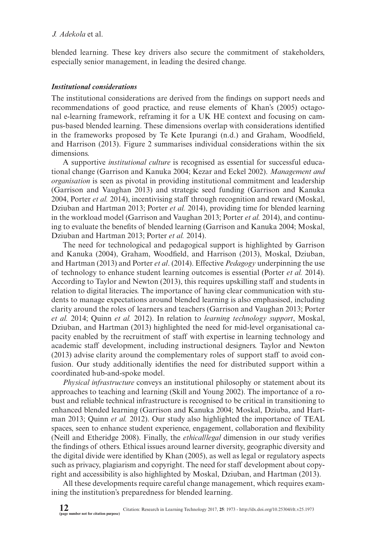blended learning. These key drivers also secure the commitment of stakeholders, especially senior management, in leading the desired change.

### *Institutional considerations*

The institutional considerations are derived from the findings on support needs and recommendations of good practice, and reuse elements of Khan's (2005) octagonal e-learning framework, reframing it for a UK HE context and focusing on campus-based blended learning. These dimensions overlap with considerations identified in the frameworks proposed by Te Kete Ipurangi (n.d.) and Graham, Woodfield, and Harrison (2013). Figure 2 summarises individual considerations within the six dimensions.

A supportive *institutional culture* is recognised as essential for successful educational change (Garrison and Kanuka 2004; Kezar and Eckel 2002). *Management and organisation* is seen as pivotal in providing institutional commitment and leadership (Garrison and Vaughan 2013) and strategic seed funding (Garrison and Kanuka 2004, Porter *et al.* 2014), incentivising staff through recognition and reward (Moskal, Dziuban and Hartman 2013; Porter *et al.* 2014), providing time for blended learning in the workload model (Garrison and Vaughan 2013; Porter *et al.* 2014), and continuing to evaluate the benefits of blended learning (Garrison and Kanuka 2004; Moskal, Dziuban and Hartman 2013; Porter *et al.* 2014).

The need for technological and pedagogical support is highlighted by Garrison and Kanuka (2004), Graham, Woodfield, and Harrison (2013), Moskal, Dziuban, and Hartman (2013) and Porter *et al*. (2014). Effective *Pedagogy* underpinning the use of technology to enhance student learning outcomes is essential (Porter *et al.* 2014). According to Taylor and Newton (2013), this requires upskilling staff and students in relation to digital literacies. The importance of having clear communication with students to manage expectations around blended learning is also emphasised, including clarity around the roles of learners and teachers (Garrison and Vaughan 2013; Porter *et al.* 2014; Quinn *et al.* 2012). In relation to *learning technology support*, Moskal, Dziuban, and Hartman (2013) highlighted the need for mid-level organisational capacity enabled by the recruitment of staff with expertise in learning technology and academic staff development, including instructional designers. Taylor and Newton (2013) advise clarity around the complementary roles of support staff to avoid confusion. Our study additionally identifies the need for distributed support within a coordinated hub-and-spoke model.

*Physical infrastructure* conveys an institutional philosophy or statement about its approaches to teaching and learning (Skill and Young 2002). The importance of a robust and reliable technical infrastructure is recognised to be critical in transitioning to enhanced blended learning (Garrison and Kanuka 2004; Moskal, Dziuba, and Hartman 2013; Quinn *et al.* 2012). Our study also highlighted the importance of TEAL spaces, seen to enhance student experience, engagement, collaboration and flexibility (Neill and Etheridge 2008). Finally, the *ethical/legal* dimension in our study verifies the findings of others. Ethical issues around learner diversity, geographic diversity and the digital divide were identified by Khan (2005), as well as legal or regulatory aspects such as privacy, plagiarism and copyright. The need for staff development about copyright and accessibility is also highlighted by Moskal, Dziuban, and Hartman (2013).

All these developments require careful change management, which requires examining the institution's preparedness for blended learning.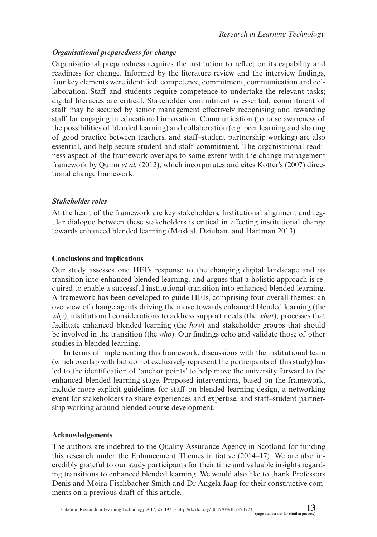### *Organisational preparedness for change*

Organisational preparedness requires the institution to reflect on its capability and readiness for change. Informed by the literature review and the interview findings, four key elements were identified: competence, commitment, communication and collaboration. Staff and students require competence to undertake the relevant tasks; digital literacies are critical. Stakeholder commitment is essential; commitment of staff may be secured by senior management effectively recognising and rewarding staff for engaging in educational innovation. Communication (to raise awareness of the possibilities of blended learning) and collaboration (e.g. peer learning and sharing of good practice between teachers, and staff–student partnership working) are also essential, and help secure student and staff commitment. The organisational readiness aspect of the framework overlaps to some extent with the change management framework by Quinn *et al.* (2012), which incorporates and cites Kotter's (2007) directional change framework.

### *Stakeholder roles*

At the heart of the framework are key stakeholders. Institutional alignment and regular dialogue between these stakeholders is critical in effecting institutional change towards enhanced blended learning (Moskal, Dziuban, and Hartman 2013).

### **Conclusions and implications**

Our study assesses one HEI's response to the changing digital landscape and its transition into enhanced blended learning, and argues that a holistic approach is required to enable a successful institutional transition into enhanced blended learning. A framework has been developed to guide HEIs, comprising four overall themes: an overview of change agents driving the move towards enhanced blended learning (the *why*), institutional considerations to address support needs (the *what*), processes that facilitate enhanced blended learning (the *how*) and stakeholder groups that should be involved in the transition (the *who*). Our findings echo and validate those of other studies in blended learning.

In terms of implementing this framework, discussions with the institutional team (which overlap with but do not exclusively represent the participants of this study) has led to the identification of 'anchor points' to help move the university forward to the enhanced blended learning stage. Proposed interventions, based on the framework, include more explicit guidelines for staff on blended learning design, a networking event for stakeholders to share experiences and expertise, and staff–student partnership working around blended course development.

#### **Acknowledgements**

The authors are indebted to the Quality Assurance Agency in Scotland for funding this research under the Enhancement Themes initiative (2014–17). We are also incredibly grateful to our study participants for their time and valuable insights regarding transitions to enhanced blended learning. We would also like to thank Professors Denis and Moira Fischbacher-Smith and Dr Angela Jaap for their constructive comments on a previous draft of this article.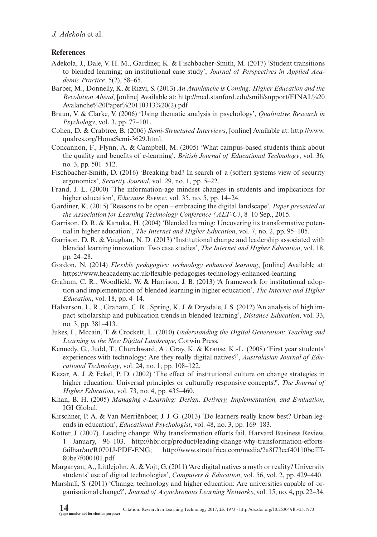#### **References**

- Adekola, J., Dale, V. H. M., Gardiner, K. & Fischbacher-Smith, M. (2017) 'Student transitions to blended learning; an institutional case study', *Journal of Perspectives in Applied Academic Practice*. 5(2), 58–65.
- Barber, M., Donnelly, K. & Rizvi, S. (2013) *An Avanlanche is Coming: Higher Education and the Revolution Ahead*, [online] Available at: [http://med.stanford.edu/smili/support/FINAL%20](http://med.stanford.edu/smili/support/FINAL%20Avalanche%20Paper%20110313%20(2).pdf) [Avalanche%20Paper%20110313%20\(2\).pdf](http://med.stanford.edu/smili/support/FINAL%20Avalanche%20Paper%20110313%20(2).pdf)
- Braun, V. & Clarke, V. (2006) 'Using thematic analysis in psychology', *Qualitative Research in Psychology*, vol. 3, pp. 77–101.
- Cohen, D. & Crabtree, B. (2006) *Semi-Structured Interviews*, [online] Available at: [http://www.](http://www.qualres.org/HomeSemi-3629.html) [qualres.org/HomeSemi-3629.html.](http://www.qualres.org/HomeSemi-3629.html)
- Concannon, F., Flynn, A. & Campbell, M. (2005) 'What campus-based students think about the quality and benefits of e-learning', *British Journal of Educational Technology*, vol. 36, no. 3, pp. 501–512.
- Fischbacher-Smith, D. (2016) 'Breaking bad? In search of a (softer) systems view of security ergonomics', *Security Journal*, vol. 29, no. 1, pp. 5–22.
- Frand, J. L. (2000) 'The information-age mindset changes in students and implications for higher education', *Educause Review*, vol. 35, no. 5, pp. 14–24.
- Gardiner, K. (2015) 'Reasons to be open embracing the digital landscape', *Paper presented at the Association for Learning Technology Conference (ALT-C)*, 8–10 Sep., 2015.
- Garrison, D. R. & Kanuka, H. (2004) 'Blended learning: Uncovering its transformative potential in higher education', *The Internet and Higher Education*, vol. 7, no. 2, pp. 95–105.
- Garrison, D. R. & Vaughan, N. D. (2013) 'Institutional change and leadership associated with blended learning innovation: Two case studies', *The Internet and Higher Education*, vol. 18, pp. 24–28.
- Gordon, N. (2014) *Flexible pedagogies: technology enhanced learning*, [online] Available at: <https://www.heacademy.ac.uk/flexible-pedagogies-technology-enhanced-learning>
- Graham, C. R., Woodfield, W. & Harrison, J. B. (2013) 'A framework for institutional adoption and implementation of blended learning in higher education', *The Internet and Higher Education*, vol. 18, pp. 4–14.
- Halverson, L. R., Graham, C. R., Spring, K. J. & Drysdale, J. S. (2012) 'An analysis of high impact scholarship and publication trends in blended learning', *Distance Education*, vol. 33, no. 3, pp. 381–413.
- Jukes, I., Mccain, T. & Crockett, L. (2010) *Understanding the Digital Generation: Teaching and Learning in the New Digital Landscape*, Corwin Press.
- Kennedy, G., Judd, T., Churchward, A., Gray, K. & Krause, K.-L. (2008) 'First year students' experiences with technology: Are they really digital natives?', *Australasian Journal of Educational Technology*, vol. 24, no. 1, pp. 108–122.
- Kezar, A. J. & Eckel, P. D. (2002) 'The effect of institutional culture on change strategies in higher education: Universal principles or culturally responsive concepts?', *The Journal of Higher Education*, vol. 73, no. 4, pp. 435–460.
- Khan, B. H. (2005) *Managing e-Learning: Design, Delivery, Implementation, and Evaluation*, IGI Global.
- Kirschner, P. A. & Van Merriënboer, J. J. G. (2013) 'Do learners really know best? Urban legends in education', *Educational Psychologist*, vol. 48, no. 3, pp. 169–183.
- Kotter, J. (2007). Leading change: Why transformation efforts fail. Harvard Business Review, 1 January, 96–103. [http://hbr.org/product/leading-change-why-transformation-efforts](http://hbr.org/product/leading-change-why-transformation-efforts-failhar/an/R0701J-PDF-ENG)[failhar/an/R0701J-PDF-ENG;](http://hbr.org/product/leading-change-why-transformation-efforts-failhar/an/R0701J-PDF-ENG) [http://www.stratafrica.com/media/2a8f73ccf40110beffff-](http://www.stratafrica.com/media/2a8f73ccf40110beffff80be7f000101.pdf)[80be7f000101.pdf](http://www.stratafrica.com/media/2a8f73ccf40110beffff80be7f000101.pdf)
- Margaryan, A., Littlejohn, A. & Vojt, G. (2011) 'Are digital natives a myth or reality? University students' use of digital technologies', *Computers & Education*, vol. 56, vol. 2, pp. 429–440.
- Marshall, S. (2011) 'Change, technology and higher education: Are universities capable of organisational change?', *Journal of Asynchronous Learning Networks*, vol. 15, no. 4**,** pp. 22–34.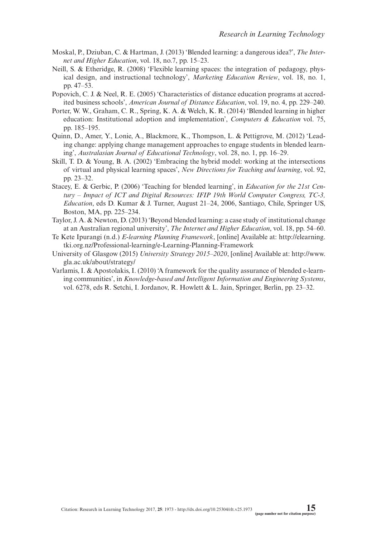- Moskal, P., Dziuban, C. & Hartman, J. (2013) 'Blended learning: a dangerous idea?', *The Internet and Higher Education*, vol. 18, no.7, pp. 15–23.
- Neill, S. & Etheridge, R. (2008) 'Flexible learning spaces: the integration of pedagogy, physical design, and instructional technology', *Marketing Education Review*, vol. 18, no. 1, pp. 47–53.
- Popovich, C. J. & Neel, R. E. (2005) 'Characteristics of distance education programs at accredited business schools', *American Journal of Distance Education*, vol. 19, no. 4, pp. 229–240.
- Porter, W. W., Graham, C. R., Spring, K. A. & Welch, K. R. (2014) 'Blended learning in higher education: Institutional adoption and implementation', *Computers & Education* vol. 75, pp. 185–195.
- Quinn, D., Amer, Y., Lonie, A., Blackmore, K., Thompson, L. & Pettigrove, M. (2012) 'Leading change: applying change management approaches to engage students in blended learning', *Australasian Journal of Educational Technology*, vol. 28, no. 1, pp. 16–29.
- Skill, T. D. & Young, B. A. (2002) 'Embracing the hybrid model: working at the intersections of virtual and physical learning spaces', *New Directions for Teaching and learning*, vol. 92, pp. 23–32.
- Stacey, E. & Gerbic, P. (2006) 'Teaching for blended learning', in *Education for the 21st Century – Impact of ICT and Digital Resources: IFIP 19th World Computer Congress, TC-3, Education*, eds D. Kumar & J. Turner, August 21–24, 2006, Santiago, Chile, Springer US, Boston, MA, pp. 225–234.
- Taylor, J. A. & Newton, D. (2013) 'Beyond blended learning: a case study of institutional change at an Australian regional university', *The Internet and Higher Education*, vol. 18, pp. 54–60.
- Te Kete Ipurangi (n.d.) *E-learning Planning Framework*, [online] Available at: [http://elearning.](https://www.heacademy.ac.uk/flexible-pedagogies-technology-enhanced-learning) [tki.org.nz/Professional-learning/e-Learning-Planning-Framework](https://www.heacademy.ac.uk/flexible-pedagogies-technology-enhanced-learning)
- University of Glasgow (2015) *University Strategy 2015–2020*, [online] Available at: [http://www.](http://www.gla.ac.uk/about/strategy) [gla.ac.uk/about/strategy/](http://www.gla.ac.uk/about/strategy)
- Varlamis, I. & Apostolakis, I. (2010) 'A framework for the quality assurance of blended e-learning communities', in *Knowledge-based and Intelligent Information and Engineering Systems*, vol. 6278, eds R. Setchi, I. Jordanov, R. Howlett & L. Jain, Springer, Berlin, pp. 23–32.